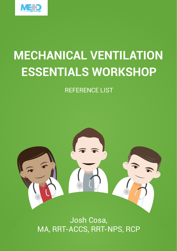

## **MECHANICAL VENTILATION ESSENTIALS WORKSHOP**

## REFERENCE LIST



Josh Cosa, MA, RRT-ACCS, RRT-NPS, RCP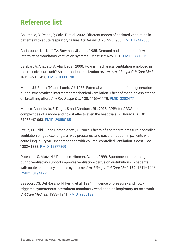## **Reference list**

Chiumello, D, Pelosi, P, Calvi, E, et al. 2002. Different modes of assisted ventilation in patients with acute respiratory failure. *Eur Respir J*. **20**: 925–933. [PMID: 12412685](https://pubmed.ncbi.nlm.nih.gov/12412685/)

Christopher, KL, Neff, TA, Bowman, JL, et al. 1985. Demand and continuous flow intermittent mandatory ventilation systems. *Chest*. **87**: 625–630. [PMID: 3886315](https://pubmed.ncbi.nlm.nih.gov/3886315/)

Esteban, A, Anzueto, A, Alía, I, et al. 2000. How is mechanical ventilation employed in the intensive care unit? An international utilization review. *Am J Respir Crit Care Med*. **161**: 1450–1458. [PMID: 10806138](https://pubmed.ncbi.nlm.nih.gov/10806138/)

Marini, JJ, Smith, TC and Lamb, VJ. 1988. External work output and force generation during synchronized intermittent mechanical ventilation. Effect of machine assistance on breathing effort. *Am Rev Respir Dis*. **138**: 1169–1179. [PMID: 3202477](https://pubmed.ncbi.nlm.nih.gov/3202477/)

Mireles-Cabodevila, E, Dugar, S and Chatburn, RL. 2018. APRV for ARDS: the complexities of a mode and how it affects even the best trials. *J Thorac Dis*. **10**: S1058–S1063. [PMID: 29850185](https://pubmed.ncbi.nlm.nih.gov/29850185/)

Prella, M, Feihl, F and Domenighetti, G. 2002. Effects of short-term pressure-controlled ventilation on gas exchange, airway pressures, and gas distribution in patients with acute lung injury/ARDS: comparison with volume-controlled ventilation. *Chest*. **122**: 1382–1388. [PMID: 12377869](https://pubmed.ncbi.nlm.nih.gov/12377869/)

Putensen, C, Mutz, NJ, Putensen-Himmer, G, et al. 1999. Spontaneous breathing during ventilatory support improves ventilation-perfusion distributions in patients with acute respiratory distress syndrome. *Am J Respir Crit Care Med*. **159**: 1241–1248. [PMID: 10194172](https://pubmed.ncbi.nlm.nih.gov/10194172/)

Sassoon, CS, Del Rosario, N, Fei, R, et al. 1994. Influence of pressure- and flowtriggered synchronous intermittent mandatory ventilation on inspiratory muscle work. *Crit Care Med*. **22**: 1933–1941. [PMID: 7988129](https://pubmed.ncbi.nlm.nih.gov/7988129/)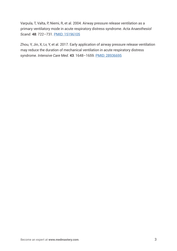Varpula, T, Valta, P, Niemi, R, et al. 2004. Airway pressure release ventilation as a primary ventilatory mode in acute respiratory distress syndrome. *Acta Anaesthesiol Scand*. **48**: 722–731. [PMID: 15196105](https://pubmed.ncbi.nlm.nih.gov/15196105/)

Zhou, Y, Jin, X, Lv, Y, et al. 2017. Early application of airway pressure release ventilation may reduce the duration of mechanical ventilation in acute respiratory distress syndrome. *Intensive Care Med*. **43**: 1648–1659. [PMID: 28936695](https://pubmed.ncbi.nlm.nih.gov/28936695/)